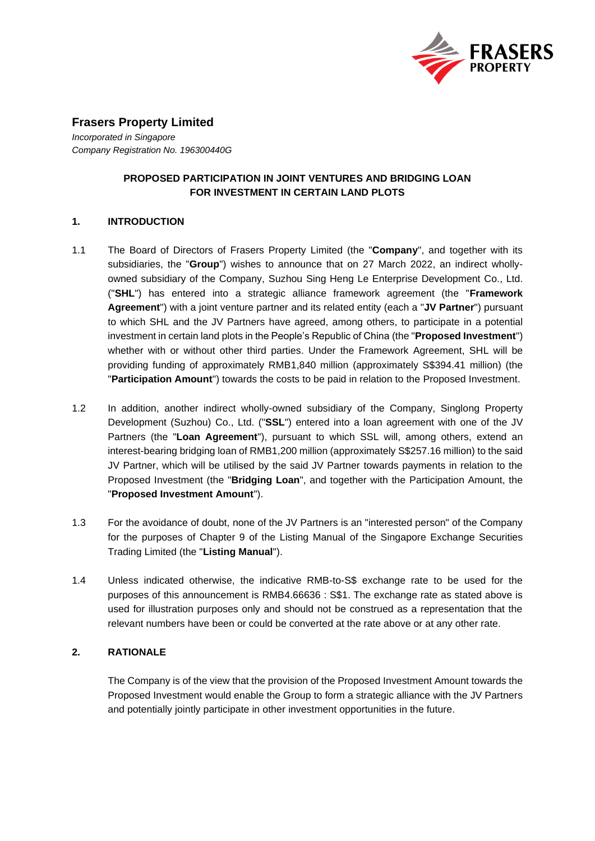

# **Frasers Property Limited**

*Incorporated in Singapore Company Registration No. 196300440G*

## **PROPOSED PARTICIPATION IN JOINT VENTURES AND BRIDGING LOAN FOR INVESTMENT IN CERTAIN LAND PLOTS**

### **1. INTRODUCTION**

- 1.1 The Board of Directors of Frasers Property Limited (the "**Company**", and together with its subsidiaries, the "**Group**") wishes to announce that on 27 March 2022, an indirect whollyowned subsidiary of the Company, Suzhou Sing Heng Le Enterprise Development Co., Ltd. ("**SHL**") has entered into a strategic alliance framework agreement (the "**Framework Agreement**") with a joint venture partner and its related entity (each a "**JV Partner**") pursuant to which SHL and the JV Partners have agreed, among others, to participate in a potential investment in certain land plots in the People's Republic of China (the "**Proposed Investment**") whether with or without other third parties. Under the Framework Agreement, SHL will be providing funding of approximately RMB1,840 million (approximately S\$394.41 million) (the "**Participation Amount**") towards the costs to be paid in relation to the Proposed Investment.
- 1.2 In addition, another indirect wholly-owned subsidiary of the Company, Singlong Property Development (Suzhou) Co., Ltd. ("**SSL**") entered into a loan agreement with one of the JV Partners (the "**Loan Agreement**"), pursuant to which SSL will, among others, extend an interest-bearing bridging loan of RMB1,200 million (approximately S\$257.16 million) to the said JV Partner, which will be utilised by the said JV Partner towards payments in relation to the Proposed Investment (the "**Bridging Loan**", and together with the Participation Amount, the "**Proposed Investment Amount**").
- 1.3 For the avoidance of doubt, none of the JV Partners is an "interested person" of the Company for the purposes of Chapter 9 of the Listing Manual of the Singapore Exchange Securities Trading Limited (the "**Listing Manual**").
- 1.4 Unless indicated otherwise, the indicative RMB-to-S\$ exchange rate to be used for the purposes of this announcement is RMB4.66636 : S\$1. The exchange rate as stated above is used for illustration purposes only and should not be construed as a representation that the relevant numbers have been or could be converted at the rate above or at any other rate.

## **2. RATIONALE**

The Company is of the view that the provision of the Proposed Investment Amount towards the Proposed Investment would enable the Group to form a strategic alliance with the JV Partners and potentially jointly participate in other investment opportunities in the future.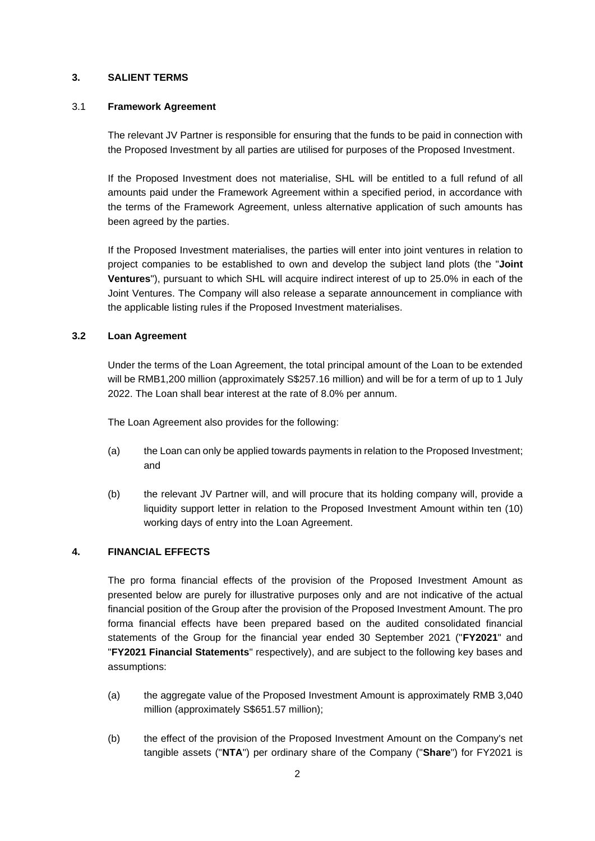### **3. SALIENT TERMS**

#### 3.1 **Framework Agreement**

The relevant JV Partner is responsible for ensuring that the funds to be paid in connection with the Proposed Investment by all parties are utilised for purposes of the Proposed Investment.

If the Proposed Investment does not materialise, SHL will be entitled to a full refund of all amounts paid under the Framework Agreement within a specified period, in accordance with the terms of the Framework Agreement, unless alternative application of such amounts has been agreed by the parties.

If the Proposed Investment materialises, the parties will enter into joint ventures in relation to project companies to be established to own and develop the subject land plots (the "**Joint Ventures**"), pursuant to which SHL will acquire indirect interest of up to 25.0% in each of the Joint Ventures. The Company will also release a separate announcement in compliance with the applicable listing rules if the Proposed Investment materialises.

### **3.2 Loan Agreement**

Under the terms of the Loan Agreement, the total principal amount of the Loan to be extended will be RMB1,200 million (approximately S\$257.16 million) and will be for a term of up to 1 July 2022. The Loan shall bear interest at the rate of 8.0% per annum.

The Loan Agreement also provides for the following:

- (a) the Loan can only be applied towards payments in relation to the Proposed Investment; and
- (b) the relevant JV Partner will, and will procure that its holding company will, provide a liquidity support letter in relation to the Proposed Investment Amount within ten (10) working days of entry into the Loan Agreement.

## **4. FINANCIAL EFFECTS**

The pro forma financial effects of the provision of the Proposed Investment Amount as presented below are purely for illustrative purposes only and are not indicative of the actual financial position of the Group after the provision of the Proposed Investment Amount. The pro forma financial effects have been prepared based on the audited consolidated financial statements of the Group for the financial year ended 30 September 2021 ("**FY2021**" and "**FY2021 Financial Statements**" respectively), and are subject to the following key bases and assumptions:

- (a) the aggregate value of the Proposed Investment Amount is approximately RMB 3,040 million (approximately S\$651.57 million);
- (b) the effect of the provision of the Proposed Investment Amount on the Company's net tangible assets ("**NTA**") per ordinary share of the Company ("**Share**") for FY2021 is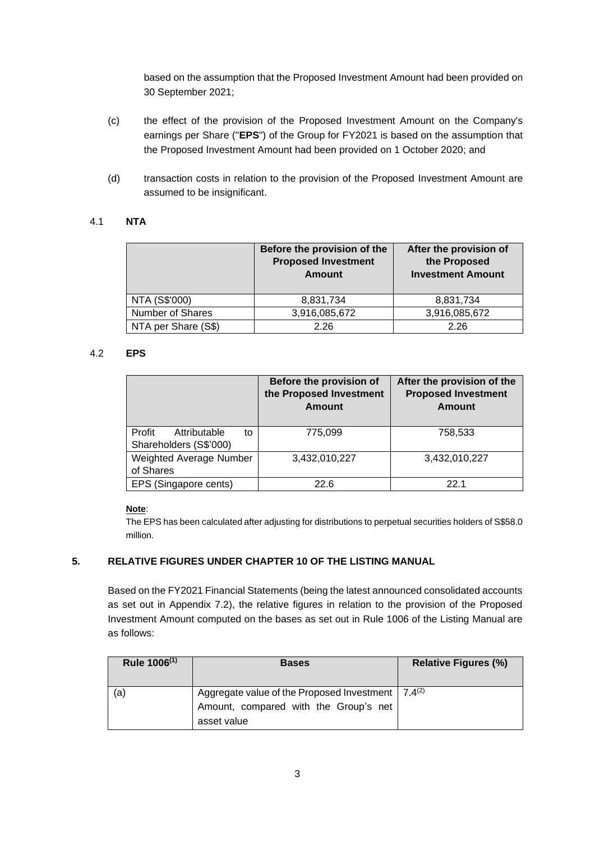based on the assumption that the Proposed Investment Amount had been provided on 30 September 2021;

- (c) the effect of the provision of the Proposed Investment Amount on the Company's earnings per Share ("**EPS**") of the Group for FY2021 is based on the assumption that the Proposed Investment Amount had been provided on 1 October 2020; and
- (d) transaction costs in relation to the provision of the Proposed Investment Amount are assumed to be insignificant.

### 4.1 **NTA**

|                         | Before the provision of the<br><b>Proposed Investment</b><br>Amount | After the provision of<br>the Proposed<br><b>Investment Amount</b> |
|-------------------------|---------------------------------------------------------------------|--------------------------------------------------------------------|
| NTA (S\$'000)           | 8,831,734                                                           | 8,831,734                                                          |
| <b>Number of Shares</b> | 3,916,085,672                                                       | 3,916,085,672                                                      |
| NTA per Share (S\$)     | 2.26                                                                | 226                                                                |

#### 4.2 **EPS**

|                                                        | Before the provision of<br>the Proposed Investment<br><b>Amount</b> | After the provision of the<br><b>Proposed Investment</b><br>Amount |
|--------------------------------------------------------|---------------------------------------------------------------------|--------------------------------------------------------------------|
| Profit<br>Attributable<br>to<br>Shareholders (S\$'000) | 775,099                                                             | 758,533                                                            |
| Weighted Average Number<br>of Shares                   | 3,432,010,227                                                       | 3,432,010,227                                                      |
| EPS (Singapore cents)                                  | 22.6                                                                | 22.1                                                               |

#### **Note**:

The EPS has been calculated after adjusting for distributions to perpetual securities holders of S\$58.0 million.

### **5. RELATIVE FIGURES UNDER CHAPTER 10 OF THE LISTING MANUAL**

Based on the FY2021 Financial Statements (being the latest announced consolidated accounts as set out in Appendix 7.2), the relative figures in relation to the provision of the Proposed Investment Amount computed on the bases as set out in Rule 1006 of the Listing Manual are as follows:

| Rule 1006 <sup>(1)</sup> | <b>Bases</b>                                                                                                     | <b>Relative Figures (%)</b> |
|--------------------------|------------------------------------------------------------------------------------------------------------------|-----------------------------|
| (a)                      | Aggregate value of the Proposed Investment   $7.4^{(2)}$<br>Amount, compared with the Group's net<br>asset value |                             |